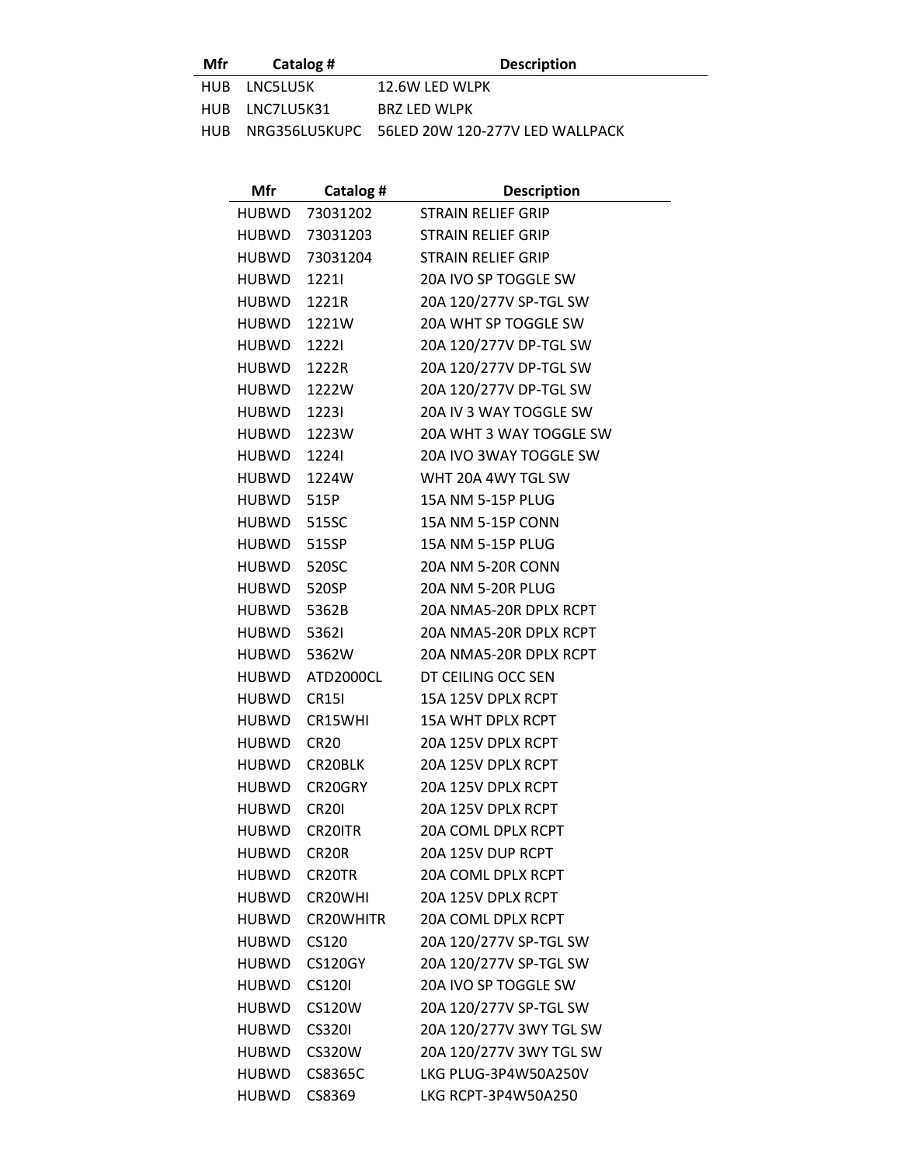**Mfr Catalog # Description**

| HUB LNC5LU5K   | 12.6W LED WLPK                                    |
|----------------|---------------------------------------------------|
| HUB LNC7LU5K31 | <b>BRZ LED WLPK</b>                               |
|                | HUB NRG356LU5KUPC 56LED 20W 120-277V LED WALLPACK |

| Mfr                | Catalog #         | <b>Description</b>        |
|--------------------|-------------------|---------------------------|
|                    | HUBWD 73031202    | STRAIN RELIEF GRIP        |
|                    | HUBWD 73031203    | <b>STRAIN RELIEF GRIP</b> |
|                    | HUBWD 73031204    | <b>STRAIN RELIEF GRIP</b> |
| HUBWD              | 12211             | 20A IVO SP TOGGLE SW      |
| HUBWD 1221R        |                   | 20A 120/277V SP-TGL SW    |
|                    | HUBWD 1221W       | 20A WHT SP TOGGLE SW      |
| HUBWD              | 12221             | 20A 120/277V DP-TGL SW    |
| HUBWD 1222R        |                   | 20A 120/277V DP-TGL SW    |
|                    | HUBWD 1222W       | 20A 120/277V DP-TGL SW    |
| <b>HUBWD 1223I</b> |                   | 20A IV 3 WAY TOGGLE SW    |
|                    | HUBWD 1223W       | 20A WHT 3 WAY TOGGLE SW   |
| <b>HUBWD 1224I</b> |                   | 20A IVO 3WAY TOGGLE SW    |
|                    | HUBWD 1224W       | WHT 20A 4WY TGL SW        |
| HUBWD 515P         |                   | 15A NM 5-15P PLUG         |
| HUBWD 515SC        |                   | 15A NM 5-15P CONN         |
| HUBWD 515SP        |                   | 15A NM 5-15P PLUG         |
| HUBWD 520SC        |                   | <b>20A NM 5-20R CONN</b>  |
| HUBWD 520SP        |                   | <b>20A NM 5-20R PLUG</b>  |
| HUBWD 5362B        |                   | 20A NMA5-20R DPLX RCPT    |
| <b>HUBWD 5362I</b> |                   | 20A NMA5-20R DPLX RCPT    |
| HUBWD 5362W        |                   | 20A NMA5-20R DPLX RCPT    |
|                    | HUBWD ATD2000CL   | DT CEILING OCC SEN        |
| HUBWD CR15I        |                   | 15A 125V DPLX RCPT        |
|                    | HUBWD CR15WHI     | <b>15A WHT DPLX RCPT</b>  |
| HUBWD CR20         |                   | 20A 125V DPLX RCPT        |
|                    | HUBWD CR20BLK     | 20A 125V DPLX RCPT        |
|                    | HUBWD CR20GRY     | 20A 125V DPLX RCPT        |
| HUBWD              | <b>CR201</b>      | 20A 125V DPLX RCPT        |
| <b>HUBWD</b>       | CR20ITR           | 20A COML DPLX RCPT        |
| HUBWD              | CR <sub>20R</sub> | 20A 125V DUP RCPT         |
| HUBWD              | CR20TR            | <b>20A COML DPLX RCPT</b> |
| <b>HUBWD</b>       | CR20WHI           | 20A 125V DPLX RCPT        |
| HUBWD              | CR20WHITR         | <b>20A COML DPLX RCPT</b> |
| HUBWD              | CS120             | 20A 120/277V SP-TGL SW    |
| HUBWD              | <b>CS120GY</b>    | 20A 120/277V SP-TGL SW    |
| <b>HUBWD</b>       | <b>CS1201</b>     | 20A IVO SP TOGGLE SW      |
| <b>HUBWD</b>       | CS120W            | 20A 120/277V SP-TGL SW    |
| <b>HUBWD</b>       | <b>CS3201</b>     | 20A 120/277V 3WY TGL SW   |
| <b>HUBWD</b>       | <b>CS320W</b>     | 20A 120/277V 3WY TGL SW   |
| HUBWD              | CS8365C           | LKG PLUG-3P4W50A250V      |
| HUBWD              | CS8369            | LKG RCPT-3P4W50A250       |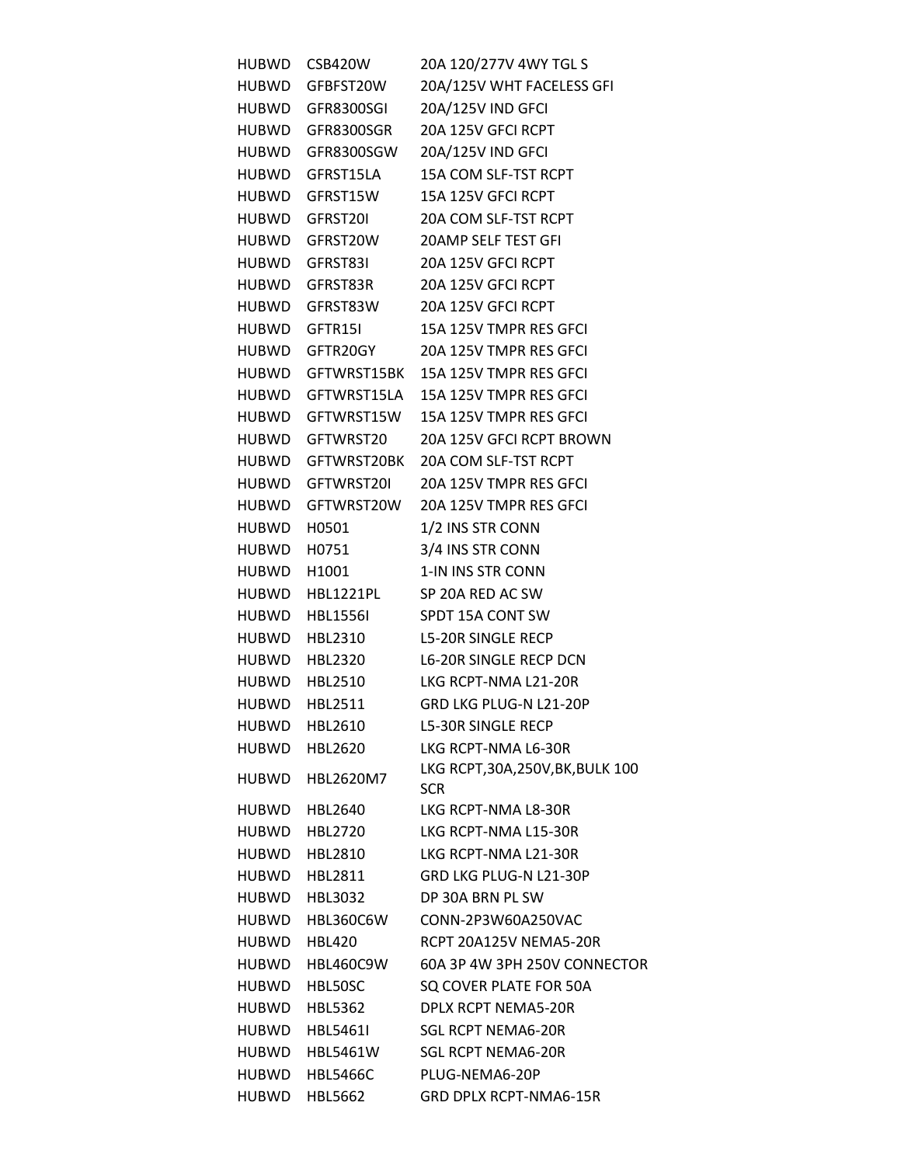| HUBWD       | <b>CSB420W</b>    | 20A 120/277V 4WY TGL S                    |
|-------------|-------------------|-------------------------------------------|
|             | HUBWD GFBFST20W   | 20A/125V WHT FACELESS GFI                 |
|             | HUBWD GFR8300SGI  | 20A/125V IND GFCI                         |
|             | HUBWD GFR8300SGR  | 20A 125V GFCI RCPT                        |
|             | HUBWD GFR8300SGW  | 20A/125V IND GFCI                         |
|             | HUBWD GFRST15LA   | 15A COM SLF-TST RCPT                      |
|             | HUBWD GFRST15W    | 15A 125V GFCI RCPT                        |
|             | HUBWD GFRST20I    | 20A COM SLF-TST RCPT                      |
|             | HUBWD GFRST20W    | 20AMP SELF TEST GFI                       |
|             | HUBWD GFRST83I    | 20A 125V GFCI RCPT                        |
|             | HUBWD GFRST83R    | 20A 125V GFCI RCPT                        |
|             | HUBWD GFRST83W    | 20A 125V GFCI RCPT                        |
|             | HUBWD GFTR15I     | 15A 125V TMPR RES GFCI                    |
|             | HUBWD GFTR20GY    | 20A 125V TMPR RES GFCI                    |
|             |                   | HUBWD GFTWRST15BK 15A 125V TMPR RES GFCI  |
|             | HUBWD GFTWRST15LA | 15A 125V TMPR RES GFCI                    |
|             | HUBWD GFTWRST15W  | 15A 125V TMPR RES GFCI                    |
|             | HUBWD GFTWRST20   | 20A 125V GFCI RCPT BROWN                  |
|             | HUBWD GFTWRST20BK | 20A COM SLF-TST RCPT                      |
|             | HUBWD GFTWRST20I  | 20A 125V TMPR RES GFCI                    |
|             | HUBWD GFTWRST20W  | 20A 125V TMPR RES GFCI                    |
| HUBWD H0501 |                   | 1/2 INS STR CONN                          |
| HUBWD H0751 |                   | 3/4 INS STR CONN                          |
| HUBWD H1001 |                   | 1-IN INS STR CONN                         |
|             | HUBWD HBL1221PL   | SP 20A RED AC SW                          |
|             | HUBWD HBL1556I    | SPDT 15A CONT SW                          |
|             | HUBWD HBL2310     | <b>L5-20R SINGLE RECP</b>                 |
|             | HUBWD HBL2320     | <b>L6-20R SINGLE RECP DCN</b>             |
|             | HUBWD HBL2510     | LKG RCPT-NMA L21-20R                      |
|             | HUBWD HBL2511     | GRD LKG PLUG-N L21-20P                    |
| HUBWD       | HBL2610           | <b>L5-30R SINGLE RECP</b>                 |
| HUBWD       | HBL2620           | LKG RCPT-NMA L6-30R                       |
| HUBWD       | HBL2620M7         | LKG RCPT, 30A, 250V, BK, BULK 100<br>SCR. |
| HUBWD       | HBL2640           | LKG RCPT-NMA L8-30R                       |
| HUBWD       | HBL2720           | LKG RCPT-NMA L15-30R                      |
| HUBWD       | HBL2810           | LKG RCPT-NMA L21-30R                      |
| HUBWD       | HBL2811           | GRD LKG PLUG-N L21-30P                    |
| HUBWD       | HBL3032           | DP 30A BRN PL SW                          |
| HUBWD       | HBL360C6W         | CONN-2P3W60A250VAC                        |
| HUBWD       | <b>HBL420</b>     | RCPT 20A125V NEMA5-20R                    |
| HUBWD       | <b>HBL460C9W</b>  | 60A 3P 4W 3PH 250V CONNECTOR              |
| HUBWD       | HBL50SC           | SQ COVER PLATE FOR 50A                    |
| HUBWD       | HBL5362           | DPLX RCPT NEMA5-20R                       |
| HUBWD       | HBL5461I          | <b>SGL RCPT NEMA6-20R</b>                 |
| HUBWD       | HBL5461W          | <b>SGL RCPT NEMA6-20R</b>                 |
| HUBWD       | <b>HBL5466C</b>   | PLUG-NEMA6-20P                            |
| HUBWD       | <b>HBL5662</b>    | GRD DPLX RCPT-NMA6-15R                    |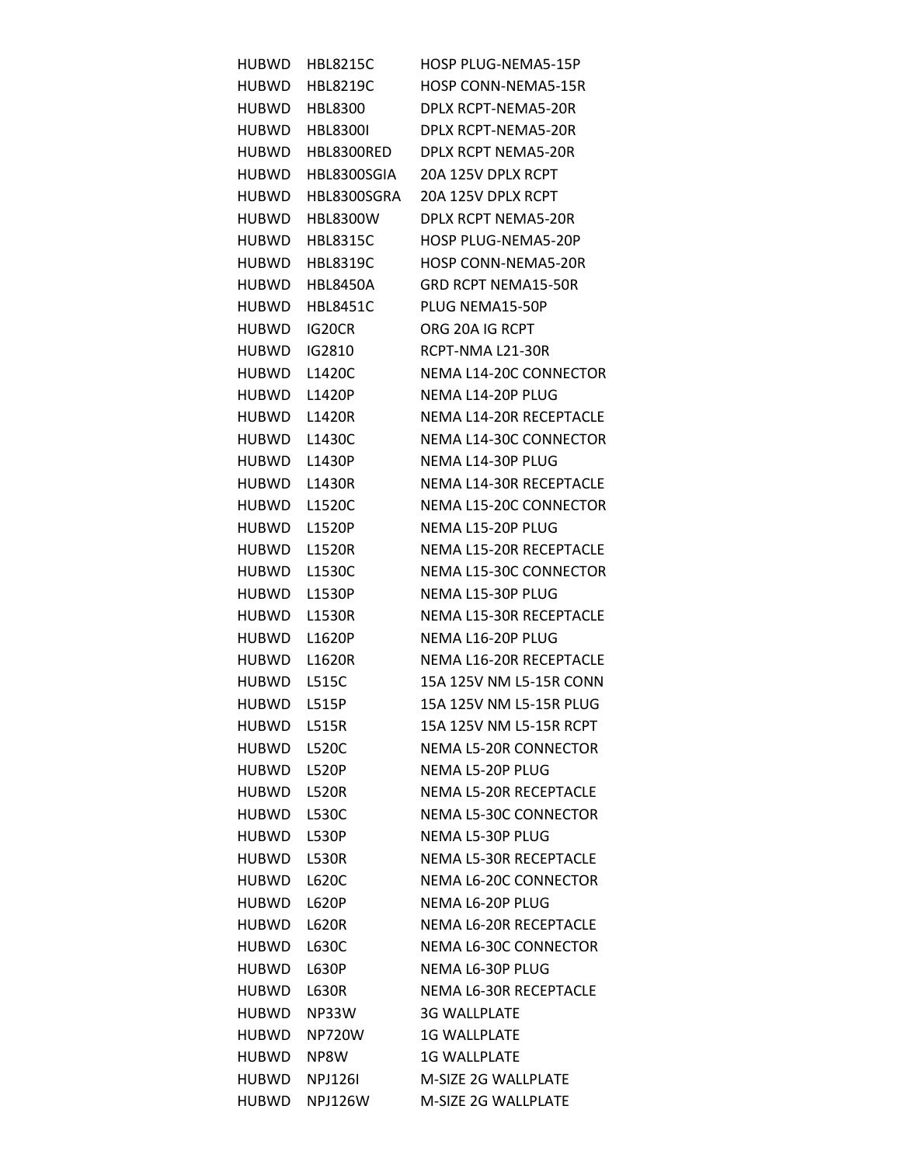| HUBWD        | <b>HBL8215C</b> | HOSP PLUG-NEMA5-15P           |
|--------------|-----------------|-------------------------------|
| <b>HUBWD</b> | HBL8219C        | <b>HOSP CONN-NEMA5-15R</b>    |
| <b>HUBWD</b> | <b>HBL8300</b>  | DPLX RCPT-NEMA5-20R           |
| <b>HUBWD</b> | <b>HBL8300I</b> | DPLX RCPT-NEMA5-20R           |
| <b>HUBWD</b> | HBL8300RED      | <b>DPLX RCPT NEMA5-20R</b>    |
| <b>HUBWD</b> | HBL8300SGIA     | 20A 125V DPLX RCPT            |
| <b>HUBWD</b> | HBL8300SGRA     | 20A 125V DPLX RCPT            |
| <b>HUBWD</b> | <b>HBL8300W</b> | DPLX RCPT NEMA5-20R           |
| <b>HUBWD</b> | <b>HBL8315C</b> | <b>HOSP PLUG-NEMA5-20P</b>    |
| <b>HUBWD</b> | <b>HBL8319C</b> | <b>HOSP CONN-NEMA5-20R</b>    |
| <b>HUBWD</b> | <b>HBL8450A</b> | <b>GRD RCPT NEMA15-50R</b>    |
| <b>HUBWD</b> | <b>HBL8451C</b> | PLUG NEMA15-50P               |
| <b>HUBWD</b> | IG20CR          | ORG 20A IG RCPT               |
| <b>HUBWD</b> | IG2810          | RCPT-NMA L21-30R              |
| <b>HUBWD</b> | L1420C          | NEMA L14-20C CONNECTOR        |
| <b>HUBWD</b> | L1420P          | NEMA L14-20P PLUG             |
| <b>HUBWD</b> | L1420R          | NEMA L14-20R RECEPTACLE       |
| <b>HUBWD</b> | L1430C          | NEMA L14-30C CONNECTOR        |
| <b>HUBWD</b> | L1430P          | NEMA L14-30P PLUG             |
| <b>HUBWD</b> | L1430R          | NEMA L14-30R RECEPTACLE       |
| <b>HUBWD</b> | L1520C          | NEMA L15-20C CONNECTOR        |
| <b>HUBWD</b> | L1520P          | NEMA L15-20P PLUG             |
| <b>HUBWD</b> | L1520R          | NEMA L15-20R RECEPTACLE       |
| <b>HUBWD</b> | L1530C          | NEMA L15-30C CONNECTOR        |
| <b>HUBWD</b> | L1530P          | NEMA L15-30P PLUG             |
| <b>HUBWD</b> | L1530R          | NEMA L15-30R RECEPTACLE       |
| <b>HUBWD</b> | L1620P          | NEMA L16-20P PLUG             |
| <b>HUBWD</b> | L1620R          | NEMA L16-20R RECEPTACLE       |
| <b>HUBWD</b> | L515C           | 15A 125V NM L5-15R CONN       |
| <b>HUBWD</b> | L515P           | 15A 125V NM L5-15R PLUG       |
| <b>HUBWD</b> | L515R           | 15A 125V NM L5-15R RCPT       |
| <b>HUBWD</b> | L520C           | <b>NEMA L5-20R CONNECTOR</b>  |
| HUBWD        | L520P           | NEMA L5-20P PLUG              |
| <b>HUBWD</b> | <b>L520R</b>    | <b>NEMA L5-20R RECEPTACLE</b> |
| <b>HUBWD</b> | L530C           | NEMA L5-30C CONNECTOR         |
| <b>HUBWD</b> | L530P           | <b>NEMA L5-30P PLUG</b>       |
| <b>HUBWD</b> | <b>L530R</b>    | <b>NEMA L5-30R RECEPTACLE</b> |
| <b>HUBWD</b> | L620C           | NEMA L6-20C CONNECTOR         |
| <b>HUBWD</b> | L620P           | NEMA L6-20P PLUG              |
| <b>HUBWD</b> | L620R           | NEMA L6-20R RECEPTACLE        |
| <b>HUBWD</b> | L630C           | NEMA L6-30C CONNECTOR         |
| <b>HUBWD</b> | L630P           | NEMA L6-30P PLUG              |
| <b>HUBWD</b> | L630R           | <b>NEMA L6-30R RECEPTACLE</b> |
| <b>HUBWD</b> | NP33W           | <b>3G WALLPLATE</b>           |
| HUBWD        | <b>NP720W</b>   | <b>1G WALLPLATE</b>           |
| <b>HUBWD</b> | NP8W            | <b>1G WALLPLATE</b>           |
| HUBWD        | <b>NPJ126I</b>  | M-SIZE 2G WALLPLATE           |
| HUBWD        | NPJ126W         | M-SIZE 2G WALLPLATE           |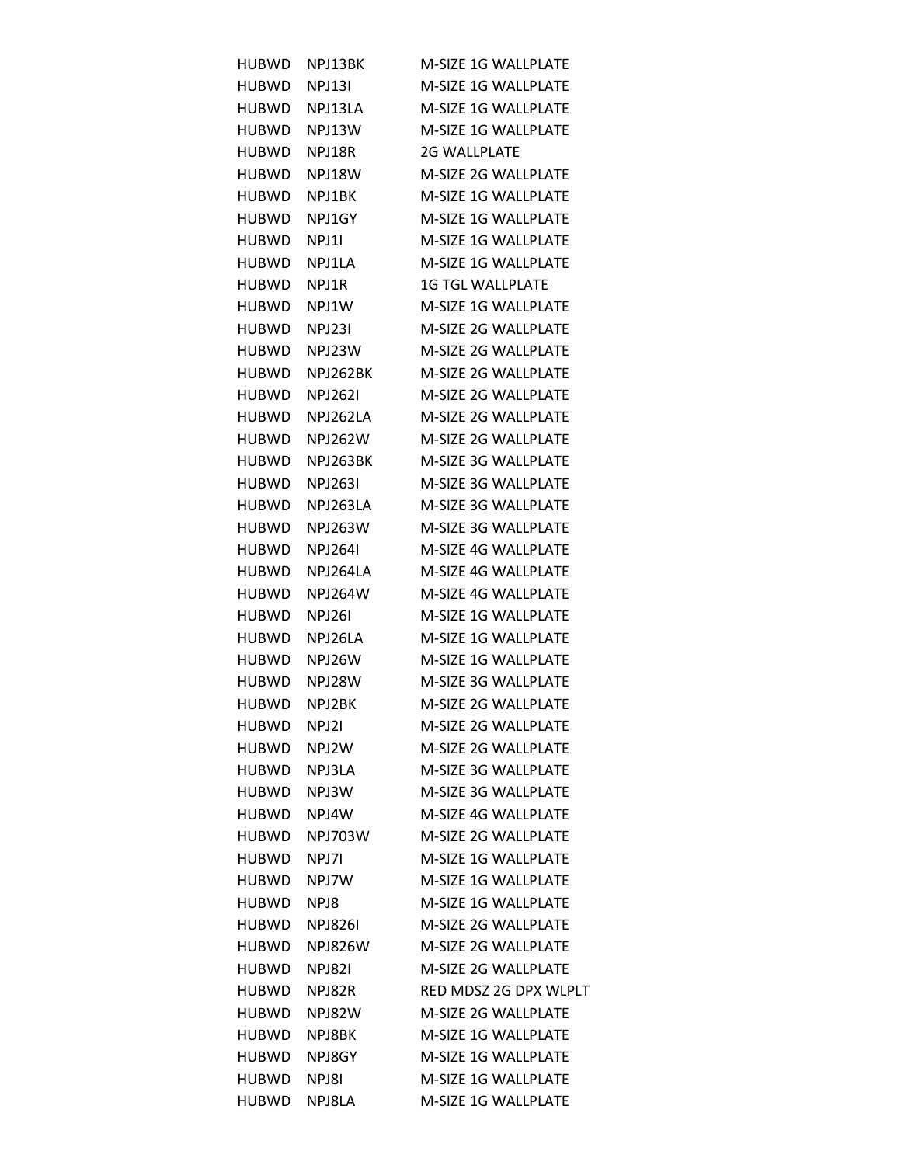| HUBWD.       | NPJ13BK        | M-SIZE 1G WALLPLATE        |
|--------------|----------------|----------------------------|
| HUBWD        | <b>NPJ131</b>  | <b>M-SIZE 1G WALLPLATE</b> |
|              | HUBWD NPJ13LA  | M-SIZE 1G WALLPLATE        |
| HUBWD NPJ13W |                | M-SIZE 1G WALLPLATE        |
| HUBWD        | NPJ18R         | <b>2G WALLPLATE</b>        |
| HUBWD        | NPJ18W         | <b>M-SIZE 2G WALLPLATE</b> |
| HUBWD        | NPJ1BK         | M-SIZE 1G WALLPLATE        |
| HUBWD        | NPJ1GY         | <b>M-SIZE 1G WALLPLATE</b> |
| HUBWD        | NPJ11          | M-SIZE 1G WALLPLATE        |
| HUBWD        | NPJ1LA         | M-SIZE 1G WALLPLATE        |
| HUBWD        | NPJ1R          | <b>1G TGL WALLPLATE</b>    |
| HUBWD        | NPJ1W          | M-SIZE 1G WALLPLATE        |
| HUBWD        | <b>NPJ231</b>  | M-SIZE 2G WALLPLATE        |
| HUBWD        | NPJ23W         | M-SIZE 2G WALLPLATE        |
| HUBWD        | NPJ262BK       | M-SIZE 2G WALLPLATE        |
| HUBWD        | NPJ2621        | M-SIZE 2G WALLPLATE        |
| HUBWD        | NPJ262LA       | <b>M-SIZE 2G WALLPLATE</b> |
| HUBWD        | NPJ262W        | M-SIZE 2G WALLPLATE        |
| HUBWD        | NPJ263BK       | M-SIZE 3G WALLPLATE        |
| HUBWD        | NPJ2631        | M-SIZE 3G WALLPLATE        |
| HUBWD        | NPJ263LA       | M-SIZE 3G WALLPLATE        |
| HUBWD-       | NPJ263W        | M-SIZE 3G WALLPLATE        |
| HUBWD        | NPJ2641        | M-SIZE 4G WALLPLATE        |
| HUBWD        | NPJ264LA       | M-SIZE 4G WALLPLATE        |
| HUBWD        | NPJ264W        | M-SIZE 4G WALLPLATE        |
| HUBWD        | NPJ26I         | <b>M-SIZE 1G WALLPLATE</b> |
| HUBWD        | NPJ26LA        | M-SIZE 1G WALLPLATE        |
| HUBWD        | NPJ26W         | M-SIZE 1G WALLPLATE        |
| HUBWD        | NPJ28W         | M-SIZE 3G WALLPLATE        |
| HUBWD        | NPJ2BK         | M-SIZE 2G WALLPLATE        |
| <b>HUBWD</b> | NPJ2I          | M-SIZE 2G WALLPLATE        |
| HUBWD        | NPJ2W          | M-SIZE 2G WALLPLATE        |
| HUBWD        | NPJ3LA         | M-SIZE 3G WALLPLATE        |
| HUBWD        | NPJ3W          | M-SIZE 3G WALLPLATE        |
| HUBWD        | NPJ4W          | M-SIZE 4G WALLPLATE        |
| HUBWD-       | <b>NPJ703W</b> | M-SIZE 2G WALLPLATE        |
| <b>HUBWD</b> | NPJ7I          | M-SIZE 1G WALLPLATE        |
| HUBWD.       | NPJ7W          | <b>M-SIZE 1G WALLPLATE</b> |
| HUBWD        | NPJ8           | M-SIZE 1G WALLPLATE        |
| HUBWD.       | NPJ8261        | M-SIZE 2G WALLPLATE        |
| HUBWD        | <b>NPJ826W</b> | M-SIZE 2G WALLPLATE        |
| HUBWD.       | <b>NPJ821</b>  | <b>M-SIZE 2G WALLPLATE</b> |
| HUBWD.       | NPJ82R         | RED MDSZ 2G DPX WLPLT      |
| HUBWD-       | NPJ82W         | M-SIZE 2G WALLPLATE        |
| HUBWD        | NPJ8BK         | M-SIZE 1G WALLPLATE        |
| HUBWD.       | NPJ8GY         | M-SIZE 1G WALLPLATE        |
| <b>HUBWD</b> | NPJ8I          | M-SIZE 1G WALLPLATE        |
| HUBWD        | NPJ8LA         | M-SIZE 1G WALLPLATE        |
|              |                |                            |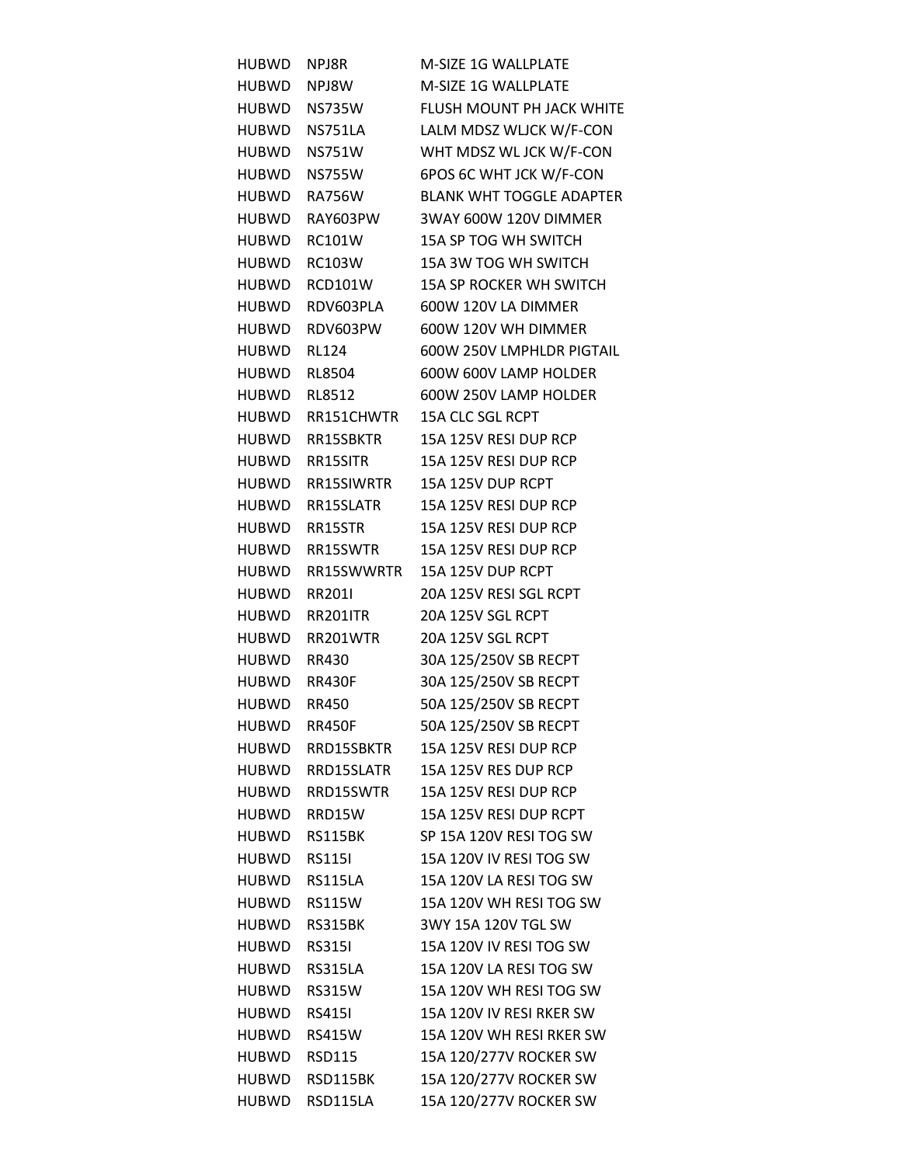| <b>HUBWD</b> | NPJ8R            | M-SIZE 1G WALLPLATE             |
|--------------|------------------|---------------------------------|
| <b>HUBWD</b> | NPJ8W            | M-SIZE 1G WALLPLATE             |
| HUBWD        | <b>NS735W</b>    | FLUSH MOUNT PH JACK WHITE       |
| HUBWD        | NS751LA          | LALM MDSZ WLJCK W/F-CON         |
| HUBWD        | <b>NS751W</b>    | WHT MDSZ WL JCK W/F-CON         |
| <b>HUBWD</b> | <b>NS755W</b>    | 6POS 6C WHT JCK W/F-CON         |
| HUBWD        | <b>RA756W</b>    | <b>BLANK WHT TOGGLE ADAPTER</b> |
| <b>HUBWD</b> | RAY603PW         | 3WAY 600W 120V DIMMER           |
| <b>HUBWD</b> | <b>RC101W</b>    | 15A SP TOG WH SWITCH            |
| <b>HUBWD</b> | <b>RC103W</b>    | 15A 3W TOG WH SWITCH            |
| <b>HUBWD</b> | <b>RCD101W</b>   | 15A SP ROCKER WH SWITCH         |
| <b>HUBWD</b> | RDV603PLA        | 600W 120V LA DIMMER             |
| <b>HUBWD</b> | RDV603PW         | 600W 120V WH DIMMER             |
| <b>HUBWD</b> | <b>RL124</b>     | 600W 250V LMPHLDR PIGTAIL       |
| <b>HUBWD</b> | RL8504           | 600W 600V LAMP HOLDER           |
| <b>HUBWD</b> | RL8512           | 600W 250V LAMP HOLDER           |
| <b>HUBWD</b> | RR151CHWTR       | 15A CLC SGL RCPT                |
|              |                  |                                 |
| <b>HUBWD</b> | RR15SBKTR        | 15A 125V RESI DUP RCP           |
| <b>HUBWD</b> | RR15SITR         | 15A 125V RESI DUP RCP           |
| <b>HUBWD</b> | RR15SIWRTR       | 15A 125V DUP RCPT               |
| <b>HUBWD</b> | RR15SLATR        | 15A 125V RESI DUP RCP           |
| <b>HUBWD</b> | RR15STR          | 15A 125V RESI DUP RCP           |
| <b>HUBWD</b> | RR15SWTR         | 15A 125V RESI DUP RCP           |
| <b>HUBWD</b> | RR15SWWRTR       | 15A 125V DUP RCPT               |
| <b>HUBWD</b> | RR2011           | 20A 125V RESI SGL RCPT          |
| <b>HUBWD</b> | RR201ITR         | 20A 125V SGL RCPT               |
| HUBWD        | RR201WTR         | 20A 125V SGL RCPT               |
| <b>HUBWD</b> | RR430            | 30A 125/250V SB RECPT           |
| HUBWD RR430F |                  | 30A 125/250V SB RECPT           |
| HUBWD        | <b>RR450</b>     | 50A 125/250V SB RECPT           |
| <b>HUBWD</b> | <b>RR450F</b>    | 50A 125/250V SB RECPT           |
| <b>HUBWD</b> | RRD15SBKTR       | 15A 125V RESI DUP RCP           |
|              | HUBWD RRD15SLATR | 15A 125V RES DUP RCP            |
| <b>HUBWD</b> | RRD15SWTR        | 15A 125V RESI DUP RCP           |
| HUBWD        | RRD15W           | 15A 125V RESI DUP RCPT          |
| HUBWD        | RS115BK          | SP 15A 120V RESI TOG SW         |
| HUBWD        | <b>RS1151</b>    | 15A 120V IV RESI TOG SW         |
| <b>HUBWD</b> | RS115LA          | 15A 120V LA RESI TOG SW         |
| HUBWD        | <b>RS115W</b>    | 15A 120V WH RESI TOG SW         |
| HUBWD        | RS315BK          | 3WY 15A 120V TGL SW             |
| <b>HUBWD</b> | <b>RS3151</b>    | 15A 120V IV RESI TOG SW         |
| <b>HUBWD</b> | RS315LA          | 15A 120V LA RESI TOG SW         |
| <b>HUBWD</b> | RS315W           | 15A 120V WH RESI TOG SW         |
| <b>HUBWD</b> | <b>RS4151</b>    | 15A 120V IV RESI RKER SW        |
| HUBWD        | <b>RS415W</b>    | 15A 120V WH RESI RKER SW        |
| <b>HUBWD</b> | RSD115           | 15A 120/277V ROCKER SW          |
| HUBWD        | RSD115BK         | 15A 120/277V ROCKER SW          |
| <b>HUBWD</b> | RSD115LA         | 15A 120/277V ROCKER SW          |
|              |                  |                                 |